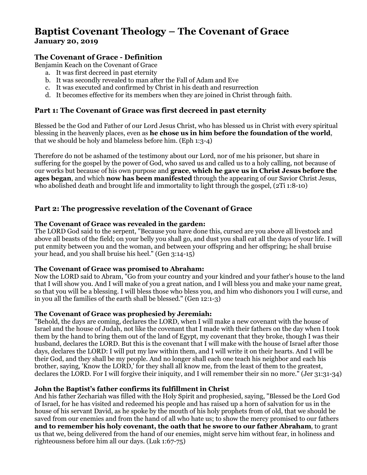# **Baptist Covenant Theology – The Covenant of Grace January 20, 2019**

# **The Covenant of Grace - Definition**

Benjamin Keach on the Covenant of Grace

- a. It was first decreed in past eternity
- b. It was secondly revealed to man after the Fall of Adam and Eve
- c. It was executed and confirmed by Christ in his death and resurrection
- d. It becomes effective for its members when they are joined in Christ through faith.

## **Part 1: The Covenant of Grace was first decreed in past eternity**

Blessed be the God and Father of our Lord Jesus Christ, who has blessed us in Christ with every spiritual blessing in the heavenly places, even as **he chose us in him before the foundation of the world**, that we should be holy and blameless before him. (Eph 1:3-4)

Therefore do not be ashamed of the testimony about our Lord, nor of me his prisoner, but share in suffering for the gospel by the power of God, who saved us and called us to a holy calling, not because of our works but because of his own purpose and **grace**, **which he gave us in Christ Jesus before the ages began**, and which **now has been manifested** through the appearing of our Savior Christ Jesus, who abolished death and brought life and immortality to light through the gospel, (2Ti 1:8-10)

## **Part 2: The progressive revelation of the Covenant of Grace**

#### **The Covenant of Grace was revealed in the garden:**

The LORD God said to the serpent, "Because you have done this, cursed are you above all livestock and above all beasts of the field; on your belly you shall go, and dust you shall eat all the days of your life. I will put enmity between you and the woman, and between your offspring and her offspring; he shall bruise your head, and you shall bruise his heel." (Gen 3:14-15)

#### **The Covenant of Grace was promised to Abraham:**

Now the LORD said to Abram, "Go from your country and your kindred and your father's house to the land that I will show you. And I will make of you a great nation, and I will bless you and make your name great, so that you will be a blessing. I will bless those who bless you, and him who dishonors you I will curse, and in you all the families of the earth shall be blessed." (Gen 12:1-3)

#### **The Covenant of Grace was prophesied by Jeremiah:**

"Behold, the days are coming, declares the LORD, when I will make a new covenant with the house of Israel and the house of Judah, not like the covenant that I made with their fathers on the day when I took them by the hand to bring them out of the land of Egypt, my covenant that they broke, though I was their husband, declares the LORD. But this is the covenant that I will make with the house of Israel after those days, declares the LORD: I will put my law within them, and I will write it on their hearts. And I will be their God, and they shall be my people. And no longer shall each one teach his neighbor and each his brother, saying, 'Know the LORD,' for they shall all know me, from the least of them to the greatest, declares the LORD. For I will forgive their iniquity, and I will remember their sin no more." (Jer 31:31-34)

#### **John the Baptist's father confirms its fulfillment in Christ**

And his father Zechariah was filled with the Holy Spirit and prophesied, saying, "Blessed be the Lord God of Israel, for he has visited and redeemed his people and has raised up a horn of salvation for us in the house of his servant David, as he spoke by the mouth of his holy prophets from of old, that we should be saved from our enemies and from the hand of all who hate us; to show the mercy promised to our fathers **and to remember his holy covenant, the oath that he swore to our father Abraham**, to grant us that we, being delivered from the hand of our enemies, might serve him without fear, in holiness and righteousness before him all our days. (Luk 1:67-75)